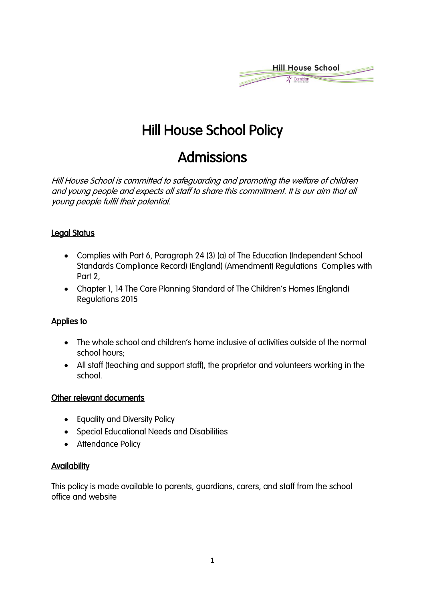

# Hill House School Policy

## Admissions

Hill House School is committed to safeguarding and promoting the welfare of children and young people and expects all staff to share this commitment. It is our aim that all young people fulfil their potential.

### Legal Status

- Complies with Part 6, Paragraph 24 (3) (a) of The Education (Independent School Standards Compliance Record) (England) (Amendment) Regulations Complies with Part 2,
- Chapter 1, 14 The Care Planning Standard of The Children's Homes (England) Regulations 2015

#### Applies to

- The whole school and children's home inclusive of activities outside of the normal school hours;
- All staff (teaching and support staff), the proprietor and volunteers working in the school.

#### Other relevant documents

- Equality and Diversity Policy
- Special Educational Needs and Disabilities
- Attendance Policy

#### **Availability**

This policy is made available to parents, guardians, carers, and staff from the school office and website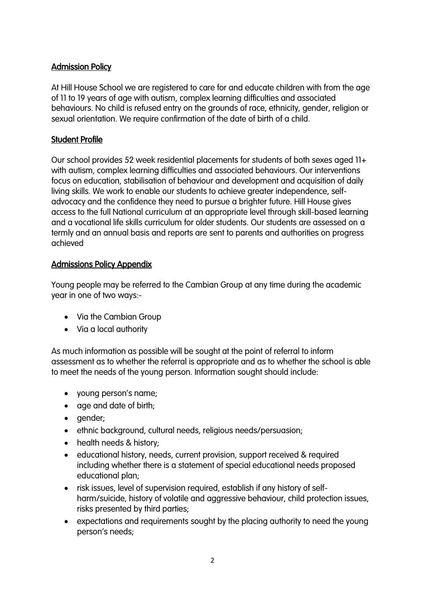## Admission Policy

At Hill House School we are registered to care for and educate children with from the age of 11 to 19 years of age with autism, complex learning difficulties and associated behaviours. No child is refused entry on the grounds of race, ethnicity, gender, religion or sexual orientation. We require confirmation of the date of birth of a child.

## Student Profile

Our school provides 52 week residential placements for students of both sexes aged 11+ with autism, complex learning difficulties and associated behaviours. Our interventions focus on education, stabilisation of behaviour and development and acquisition of daily living skills. We work to enable our students to achieve greater independence, selfadvocacy and the confidence they need to pursue a brighter future. Hill House gives access to the full National curriculum at an appropriate level through skill-based learning and a vocational life skills curriculum for older students. Our students are assessed on a termly and an annual basis and reports are sent to parents and authorities on progress achieved

## Admissions Policy Appendix

Young people may be referred to the Cambian Group at any time during the academic year in one of two ways:-

- Via the Cambian Group
- Via a local authority

As much information as possible will be sought at the point of referral to inform assessment as to whether the referral is appropriate and as to whether the school is able to meet the needs of the young person. Information sought should include:

- young person's name;
- age and date of birth;
- gender;
- ethnic background, cultural needs, religious needs/persuasion;
- health needs & history;
- educational history, needs, current provision, support received & required including whether there is a statement of special educational needs proposed educational plan;
- risk issues, level of supervision required, establish if any history of selfharm/suicide, history of volatile and aggressive behaviour, child protection issues, risks presented by third parties;
- expectations and requirements sought by the placing authority to need the young person's needs;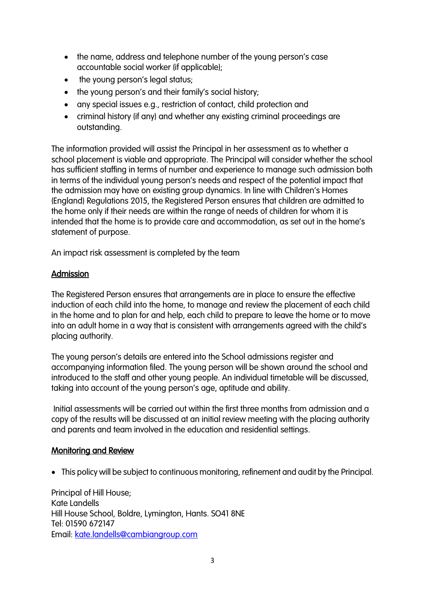- the name, address and telephone number of the young person's case accountable social worker (if applicable);
- the young person's legal status;
- the young person's and their family's social history;
- any special issues e.g., restriction of contact, child protection and
- criminal history (if any) and whether any existing criminal proceedings are outstanding.

The information provided will assist the Principal in her assessment as to whether a school placement is viable and appropriate. The Principal will consider whether the school has sufficient staffing in terms of number and experience to manage such admission both in terms of the individual young person's needs and respect of the potential impact that the admission may have on existing group dynamics. In line with Children's Homes (England) Regulations 2015, the Registered Person ensures that children are admitted to the home only if their needs are within the range of needs of children for whom it is intended that the home is to provide care and accommodation, as set out in the home's statement of purpose.

An impact risk assessment is completed by the team

### Admission

The Registered Person ensures that arrangements are in place to ensure the effective induction of each child into the home, to manage and review the placement of each child in the home and to plan for and help, each child to prepare to leave the home or to move into an adult home in a way that is consistent with arrangements agreed with the child's placing authority.

The young person's details are entered into the School admissions register and accompanying information filed. The young person will be shown around the school and introduced to the staff and other young people. An individual timetable will be discussed, taking into account of the young person's age, aptitude and ability.

Initial assessments will be carried out within the first three months from admission and a copy of the results will be discussed at an initial review meeting with the placing authority and parents and team involved in the education and residential settings.

#### Monitoring and Review

• This policy will be subject to continuous monitoring, refinement and audit by the Principal.

Principal of Hill House; Kate Landells Hill House School, Boldre, Lymington, Hants. SO41 8NE Tel: 01590 672147 Email: [kate.landells@cambiangroup.com](mailto:kate.landells@cambiangroup.com)